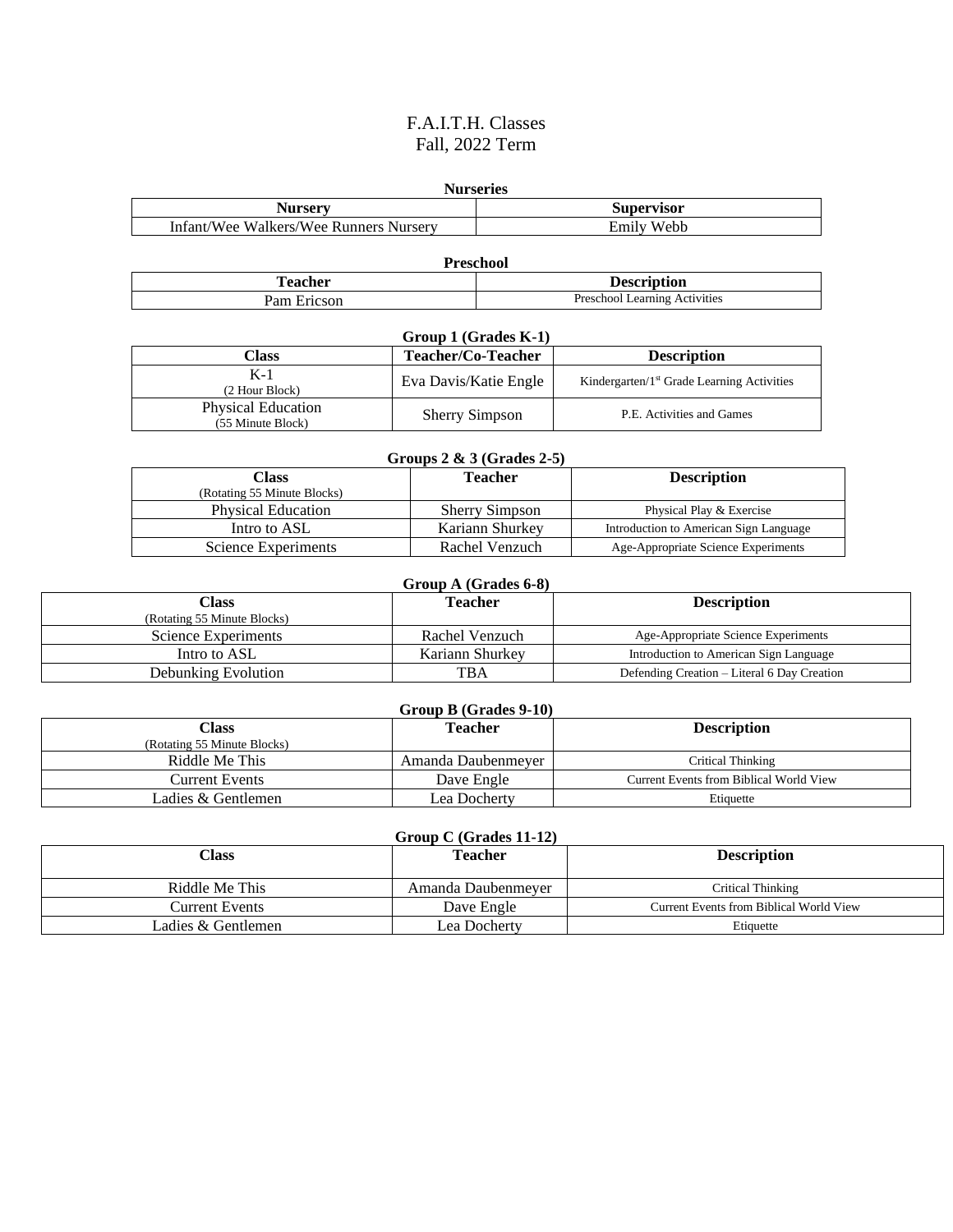## F.A.I.T.H. Classes Fall, 2022 Term

| <b>Nurseries</b>                       |                   |  |
|----------------------------------------|-------------------|--|
| Nurserv                                | <b>Supervisor</b> |  |
| Infant/Wee Walkers/Wee Runners Nurserv | Emily Webb        |  |

**Preschool Teacher Description** Pam Ericson Preschool Learning Activities

| Group 1 (Grades K-1)                           |                       |                                               |
|------------------------------------------------|-----------------------|-----------------------------------------------|
| Class                                          | Teacher/Co-Teacher    | <b>Description</b>                            |
| $K-1$<br>(2 Hour Block)                        | Eva Davis/Katie Engle | Kindergarten/ $1st$ Grade Learning Activities |
| <b>Physical Education</b><br>(55 Minute Block) | <b>Sherry Simpson</b> | P.E. Activities and Games                     |

| Groups $2 \& 3$ (Grades 2-5)         |                       |                                        |
|--------------------------------------|-----------------------|----------------------------------------|
| Class<br>(Rotating 55 Minute Blocks) | Teacher               | <b>Description</b>                     |
| <b>Physical Education</b>            | <b>Sherry Simpson</b> | Physical Play & Exercise               |
| Intro to ASL                         | Kariann Shurkey       | Introduction to American Sign Language |
| Science Experiments                  | Rachel Venzuch        | Age-Appropriate Science Experiments    |

| Group A (Grades 6-8)        |                 |                                             |
|-----------------------------|-----------------|---------------------------------------------|
| Class                       | Teacher         | <b>Description</b>                          |
| (Rotating 55 Minute Blocks) |                 |                                             |
| Science Experiments         | Rachel Venzuch  | Age-Appropriate Science Experiments         |
| Intro to ASL                | Kariann Shurkey | Introduction to American Sign Language      |
| Debunking Evolution         | <b>TBA</b>      | Defending Creation – Literal 6 Day Creation |

| Group B (Grades 9-10)       |                    |                                         |
|-----------------------------|--------------------|-----------------------------------------|
| Class                       | <b>Teacher</b>     | <b>Description</b>                      |
| (Rotating 55 Minute Blocks) |                    |                                         |
| Riddle Me This              | Amanda Daubenmever | Critical Thinking                       |
| Current Events              | Dave Engle         | Current Events from Biblical World View |
| Ladies & Gentlemen          | Lea Dochertv       | Etiquette                               |

| Group C (Grades $11-12$ ) |                    |                                         |
|---------------------------|--------------------|-----------------------------------------|
| Class                     | <b>Teacher</b>     | <b>Description</b>                      |
| Riddle Me This            | Amanda Daubenmever | Critical Thinking                       |
| Current Events            | Dave Engle         | Current Events from Biblical World View |
| Ladies & Gentlemen        | Lea Docherty       | Etiquette                               |